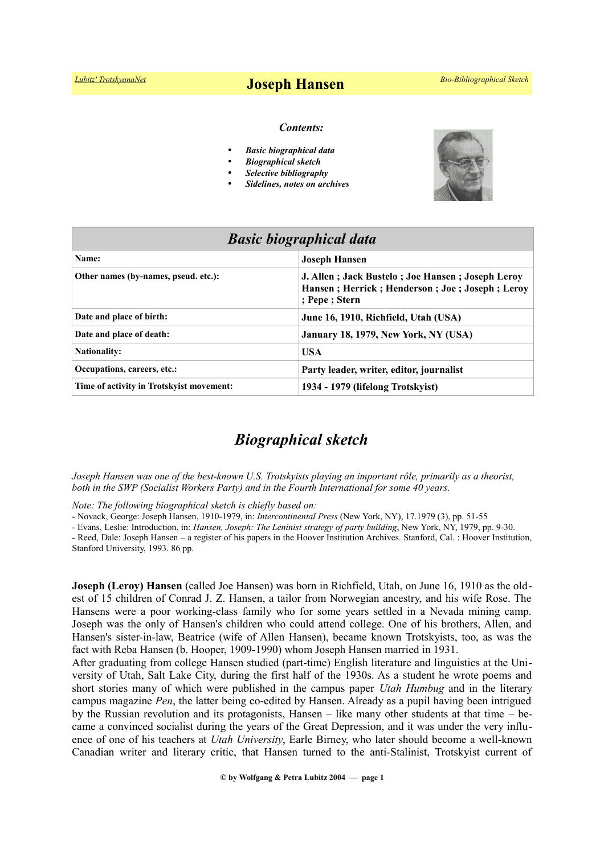#### *Contents:*

- *Basic biographical data*
- *Biographical sketch*
- *Selective bibliography*
- *Sidelines, notes on archives*



| <b>Basic biographical data</b>           |                                                                                                                      |
|------------------------------------------|----------------------------------------------------------------------------------------------------------------------|
| Name:                                    | <b>Joseph Hansen</b>                                                                                                 |
| Other names (by-names, pseud. etc.):     | J. Allen; Jack Bustelo; Joe Hansen; Joseph Leroy<br>Hansen; Herrick; Henderson; Joe; Joseph; Leroy<br>; Pepe ; Stern |
| Date and place of birth:                 | June 16, 1910, Richfield, Utah (USA)                                                                                 |
| Date and place of death:                 | January 18, 1979, New York, NY (USA)                                                                                 |
| <b>Nationality:</b>                      | <b>USA</b>                                                                                                           |
| Occupations, careers, etc.:              | Party leader, writer, editor, journalist                                                                             |
| Time of activity in Trotskyist movement: | 1934 - 1979 (lifelong Trotskyist)                                                                                    |

# *Biographical sketch*

*Joseph Hansen was one of the best-known U.S. Trotskyists playing an important rôle, primarily as a theorist, both in the SWP (Socialist Workers Party) and in the Fourth International for some 40 years.*

*Note: The following biographical sketch is chiefly based on:*

- Novack, George: Joseph Hansen, 1910-1979, in: *Intercontinental Press* (New York, NY), 17.1979 (3), pp. 51-55

- Evans, Leslie: Introduction, in: *Hansen, Joseph: The Leninist strategy of party building*, New York, NY, 1979, pp. 9-30.

- Reed, Dale: Joseph Hansen – a register of his papers in the Hoover Institution Archives. Stanford, Cal. : Hoover Institution, Stanford University, 1993. 86 pp.

**Joseph (Leroy) Hansen** (called Joe Hansen) was born in Richfield, Utah, on June 16, 1910 as the oldest of 15 children of Conrad J. Z. Hansen, a tailor from Norwegian ancestry, and his wife Rose. The Hansens were a poor working-class family who for some years settled in a Nevada mining camp. Joseph was the only of Hansen's children who could attend college. One of his brothers, Allen, and Hansen's sister-in-law, Beatrice (wife of Allen Hansen), became known Trotskyists, too, as was the fact with Reba Hansen (b. Hooper, 1909-1990) whom Joseph Hansen married in 1931.

After graduating from college Hansen studied (part-time) English literature and linguistics at the University of Utah, Salt Lake City, during the first half of the 1930s. As a student he wrote poems and short stories many of which were published in the campus paper *Utah Humbug* and in the literary campus magazine *Pen*, the latter being co-edited by Hansen. Already as a pupil having been intrigued by the Russian revolution and its protagonists, Hansen – like many other students at that time – became a convinced socialist during the years of the Great Depression, and it was under the very influence of one of his teachers at *Utah University*, Earle Birney, who later should become a well-known Canadian writer and literary critic, that Hansen turned to the anti-Stalinist, Trotskyist current of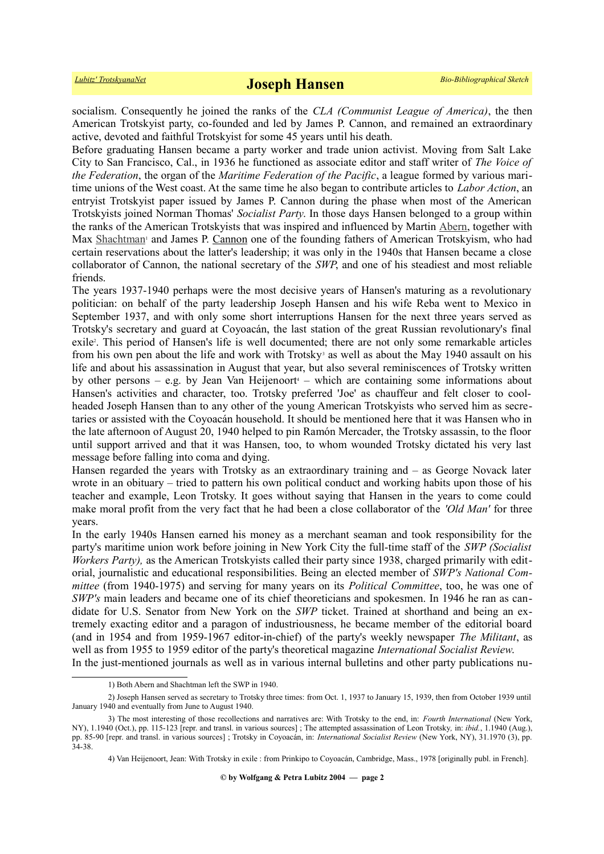socialism. Consequently he joined the ranks of the *CLA (Communist League of America)*, the then American Trotskyist party, co-founded and led by James P. Cannon, and remained an extraordinary active, devoted and faithful Trotskyist for some 45 years until his death.

Before graduating Hansen became a party worker and trade union activist. Moving from Salt Lake City to San Francisco, Cal., in 1936 he functioned as associate editor and staff writer of *The Voice of the Federation*, the organ of the *Maritime Federation of the Pacific*, a league formed by various maritime unions of the West coast. At the same time he also began to contribute articles to *Labor Action*, an entryist Trotskyist paper issued by James P. Cannon during the phase when most of the American Trotskyists joined Norman Thomas' *Socialist Party*. In those days Hansen belonged to a group within the ranks of the American Trotskyists that was inspired and influenced by Martin [Abern,](http://www.trotskyana.net/Trotskyists/Bio-Bibliographies/bio-bibl_abern.pdf) together with Max [Shachtman](http://www.trotskyana.net/Trotskyists/Bio-Bibliographies/bio-bibl_shachtman.pdf)<sup>[1](#page-1-0)</sup> and James P. [Cannon](http://www.trotskyana.net/Trotskyists/Bio-Bibliographies/bio-bibl_cannon.pdf) one of the founding fathers of American Trotskyism, who had certain reservations about the latter's leadership; it was only in the 1940s that Hansen became a close collaborator of Cannon, the national secretary of the *SWP*, and one of his steadiest and most reliable friends.

The years 1937-1940 perhaps were the most decisive years of Hansen's maturing as a revolutionary politician: on behalf of the party leadership Joseph Hansen and his wife Reba went to Mexico in September 1937, and with only some short interruptions Hansen for the next three years served as Trotsky's secretary and guard at Coyoacán, the last station of the great Russian revolutionary's final exile<sup>[2](#page-1-1)</sup>. This period of Hansen's life is well documented; there are not only some remarkable articles fromhis own pen about the life and work with Trotsky<sup>3</sup> as well as about the May 1940 assault on his life and about his assassination in August that year, but also several reminiscences of Trotsky written byother persons – e.g. by Jean Van Heijenoort<sup>4</sup> – which are containing some informations about Hansen's activities and character, too. Trotsky preferred 'Joe' as chauffeur and felt closer to coolheaded Joseph Hansen than to any other of the young American Trotskyists who served him as secretaries or assisted with the Coyoacán household. It should be mentioned here that it was Hansen who in the late afternoon of August 20, 1940 helped to pin Ramón Mercader, the Trotsky assassin, to the floor until support arrived and that it was Hansen, too, to whom wounded Trotsky dictated his very last message before falling into coma and dying.

Hansen regarded the years with Trotsky as an extraordinary training and – as George Novack later wrote in an obituary – tried to pattern his own political conduct and working habits upon those of his teacher and example, Leon Trotsky. It goes without saying that Hansen in the years to come could make moral profit from the very fact that he had been a close collaborator of the *'Old Man'* for three years.

In the early 1940s Hansen earned his money as a merchant seaman and took responsibility for the party's maritime union work before joining in New York City the full-time staff of the *SWP (Socialist Workers Party*), as the American Trotskyists called their party since 1938, charged primarily with editorial, journalistic and educational responsibilities. Being an elected member of *SWP's National Committee* (from 1940-1975) and serving for many years on its *Political Committee*, too, he was one of *SWP's* main leaders and became one of its chief theoreticians and spokesmen. In 1946 he ran as candidate for U.S. Senator from New York on the *SWP* ticket. Trained at shorthand and being an extremely exacting editor and a paragon of industriousness, he became member of the editorial board (and in 1954 and from 1959-1967 editor-in-chief) of the party's weekly newspaper *The Militant*, as well as from 1955 to 1959 editor of the party's theoretical magazine *International Socialist Review*. In the just-mentioned journals as well as in various internal bulletins and other party publications nu-

<span id="page-1-2"></span><span id="page-1-1"></span><span id="page-1-0"></span><sup>1)</sup> Both Abern and Shachtman left the SWP in 1940.

<sup>2)</sup> Joseph Hansen served as secretary to Trotsky three times: from Oct. 1, 1937 to January 15, 1939, then from October 1939 until January 1940 and eventually from June to August 1940.

<sup>3)</sup> The most interesting of those recollections and narratives are: With Trotsky to the end, in: *Fourth International* (New York, NY), 1.1940 (Oct.), pp. 115-123 [repr. and transl. in various sources] ; The attempted assassination of Leon Trotsky*,* in: *ibid.*, 1.1940 (Aug.), pp. 85-90 [repr. and transl. in various sources] ; Trotsky in Coyoacán, in: *International Socialist Review* (New York, NY), 31.1970 (3), pp. 34-38.

<span id="page-1-3"></span><sup>4)</sup> Van Heijenoort, Jean: With Trotsky in exile : from Prinkipo to Coyoacán, Cambridge, Mass., 1978 [originally publ. in French].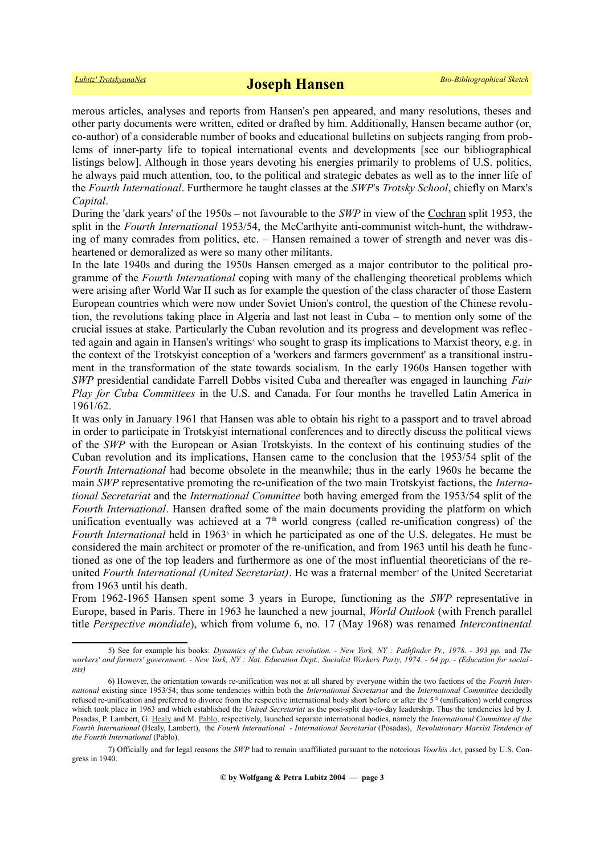merous articles, analyses and reports from Hansen's pen appeared, and many resolutions, theses and other party documents were written, edited or drafted by him. Additionally, Hansen became author (or, co-author) of a considerable number of books and educational bulletins on subjects ranging from problems of inner-party life to topical international events and developments [see our bibliographical listings below]. Although in those years devoting his energies primarily to problems of U.S. politics, he always paid much attention, too, to the political and strategic debates as well as to the inner life of the *Fourth International*. Furthermore he taught classes at the *SWP*'s *Trotsky School*, chiefly on Marx's *Capital*.

During the 'dark years' of the 1950s – not favourable to the *SWP* in view of the [Cochran](http://www.trotskyana.net/Trotskyists/Bio-Bibliographies/bio-bibl_cochran.pdf) split 1953, the split in the *Fourth International* 1953/54, the McCarthyite anti-communist witch-hunt, the withdrawing of many comrades from politics, etc. – Hansen remained a tower of strength and never was disheartened or demoralized as were so many other militants.

In the late 1940s and during the 1950s Hansen emerged as a major contributor to the political programme of the *Fourth International* coping with many of the challenging theoretical problems which were arising after World War II such as for example the question of the class character of those Eastern European countries which were now under Soviet Union's control, the question of the Chinese revolution, the revolutions taking place in Algeria and last not least in Cuba – to mention only some of the crucial issues at stake. Particularly the Cuban revolution and its progress and development was reflec tedagain and again in Hansen's writings<sup>5</sup> who sought to grasp its implications to Marxist theory, e.g. in the context of the Trotskyist conception of a 'workers and farmers government' as a transitional instrument in the transformation of the state towards socialism. In the early 1960s Hansen together with *SWP* presidential candidate Farrell Dobbs visited Cuba and thereafter was engaged in launching *Fair Play for Cuba Committees* in the U.S. and Canada. For four months he travelled Latin America in 1961/62.

It was only in January 1961 that Hansen was able to obtain his right to a passport and to travel abroad in order to participate in Trotskyist international conferences and to directly discuss the political views of the *SWP* with the European or Asian Trotskyists. In the context of his continuing studies of the Cuban revolution and its implications, Hansen came to the conclusion that the 1953/54 split of the *Fourth International* had become obsolete in the meanwhile; thus in the early 1960s he became the main *SWP* representative promoting the re-unification of the two main Trotskyist factions, the *International Secretariat* and the *International Committee* both having emerged from the 1953/54 split of the *Fourth International*. Hansen drafted some of the main documents providing the platform on which unification eventually was achieved at a  $7<sup>th</sup>$  world congress (called re-unification congress) of the Fourth International held in 196[3](#page-2-1)<sup>6</sup> in which he participated as one of the U.S. delegates. He must be considered the main architect or promoter of the re-unification, and from 1963 until his death he functioned as one of the top leaders and furthermore as one of the most influential theoreticians of the re-unitedFourth International (United Secretariat). He was a fraternal member<sup>7</sup> of the United Secretariat from 1963 until his death.

From 1962-1965 Hansen spent some 3 years in Europe, functioning as the *SWP* representative in Europe, based in Paris. There in 1963 he launched a new journal, *World Outlook* (with French parallel title *Perspective mondiale*), which from volume 6, no. 17 (May 1968) was renamed *Intercontinental*

<span id="page-2-0"></span><sup>5)</sup> See for example his books: *Dynamics of the Cuban revolution. - New York, NY : Pathfinder Pr., 1978. - 393 pp.* and *The workers' and farmers' government. - New York, NY : Nat. Education Dept., Socialist Workers Party, 1974. - 64 pp. - (Education for socialists)*

<span id="page-2-1"></span><sup>6)</sup> However, the orientation towards re-unification was not at all shared by everyone within the two factions of the *Fourth International* existing since 1953/54; thus some tendencies within both the *International Secretariat* and the *International Committee* decidedly refused re-unification and preferred to divorce from the respective international body short before or after the  $5<sup>th</sup>$  (unification) world congress which took place in 1963 and which established the *United Secretariat* as the post-split day-to-day leadership. Thus the tendencies led by J. Posadas, P. Lambert, G. [Healy](http://www.trotskyana.net/Trotskyists/Bio-Bibliographies/bio-bibl_healy.pdf) and M. [Pablo,](http://www.trotskyana.net/Trotskyists/Bio-Bibliographies/bio-bibl_pablo.pdf) respectively, launched separate international bodies, namely the *International Committee of the Fourth International* (Healy, Lambert), the *Fourth International - International Secretariat* (Posadas), *Revolutionary Marxist Tendency of the Fourth International* (Pablo).

<span id="page-2-2"></span><sup>7)</sup> Officially and for legal reasons the *SWP* had to remain unaffiliated pursuant to the notorious *Voorhis Act*, passed by U.S. Congress in 1940.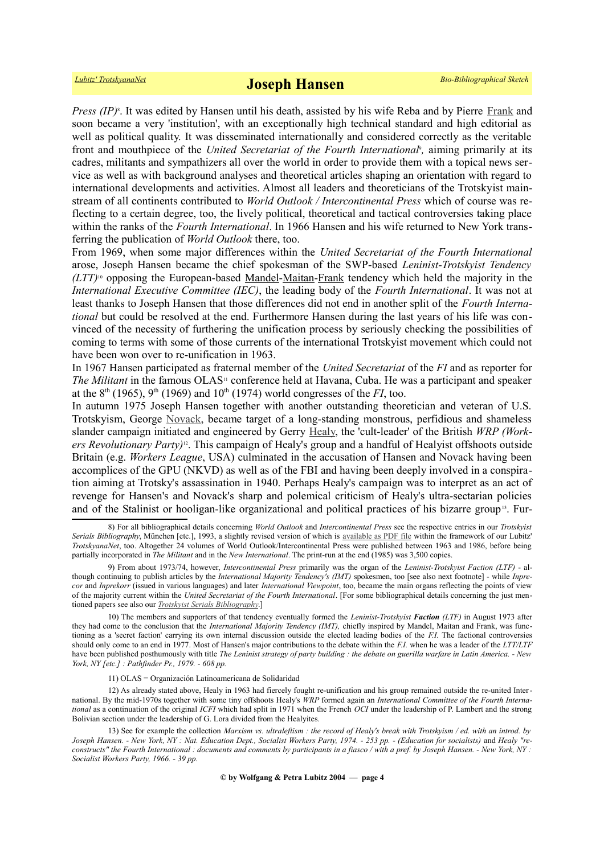Press (IP)<sup>8</sup>[.](#page-3-0) It was edited by Hansen until his death, assisted by his wife Reba and by Pierre [Frank](http://www.trotskyana.net/Trotskyists/Bio-Bibliographies/bio-bibl_frank.pdf) and soon became a very 'institution', with an exceptionally high technical standard and high editorial as well as political quality. It was disseminated internationally and considered correctly as the veritable front and mouthpiece of the *United Secretariat of the Fourth International*, aiming primarily at its cadres, militants and sympathizers all over the world in order to provide them with a topical news service as well as with background analyses and theoretical articles shaping an orientation with regard to international developments and activities. Almost all leaders and theoreticians of the Trotskyist mainstream of all continents contributed to *World Outlook / Intercontinental Press* which of course was reflecting to a certain degree, too, the lively political, theoretical and tactical controversies taking place within the ranks of the *Fourth International*. In 1966 Hansen and his wife returned to New York transferring the publication of *World Outlook* there, too.

From 1969, when some major differences within the *United Secretariat of the Fourth International* arose, Joseph Hansen became the chief spokesman of the SWP-based *Leninist-Trotskyist Tendency (LTT)*[10](#page-3-2) opposing the European-based [Mandel-](http://www.trotskyana.net/Trotskyists/Ernest_Mandel/ernest_mandel.html)[Maitan](http://www.trotskyana.net/Trotskyists/Bio-Bibliographies/bio-bibl_maitan.pdf)[-Frank](http://www.trotskyana.net/Trotskyists/Bio-Bibliographies/bio-bibl_frank.pdf) tendency which held the majority in the *International Executive Committee (IEC)*, the leading body of the *Fourth International*. It was not at least thanks to Joseph Hansen that those differences did not end in another split of the *Fourth International* but could be resolved at the end. Furthermore Hansen during the last years of his life was convinced of the necessity of furthering the unification process by seriously checking the possibilities of coming to terms with some of those currents of the international Trotskyist movement which could not have been won over to re-unification in 1963.

In 1967 Hansen participated as fraternal member of the *United Secretariat* of the *FI* and as reporter for *The Militant* in the famous OLAS<sup>[11](#page-3-3)</sup> conference held at Havana, Cuba. He was a participant and speaker at the 8<sup>th</sup> (1965), 9<sup>th</sup> (1969) and 10<sup>th</sup> (1974) world congresses of the *FI*, too.

In autumn 1975 Joseph Hansen together with another outstanding theoretician and veteran of U.S. Trotskyism, George [Novack,](http://www.trotskyana.net/Trotskyists/Bio-Bibliographies/bio-bibl_novack.pdf) became target of a long-standing monstrous, perfidious and shameless slander campaign initiated and engineered by Gerry [Healy,](http://www.trotskyana.net/Trotskyists/Bio-Bibliographies/bio-bibl_healy.pdf) the 'cult-leader' of the British *WRP (Workers Revolutionary Party)*[12](#page-3-4). This campaign of Healy's group and a handful of Healyist offshoots outside Britain (e.g. *Workers League*, USA) culminated in the accusation of Hansen and Novack having been accomplices of the GPU (NKVD) as well as of the FBI and having been deeply involved in a conspiration aiming at Trotsky's assassination in 1940. Perhaps Healy's campaign was to interpret as an act of revenge for Hansen's and Novack's sharp and polemical criticism of Healy's ultra-sectarian policies and of the Stalinist or hooligan-like organizational and political practices of his bizarre group<sup>[13](#page-3-5)</sup>. Fur-

<span id="page-3-4"></span><span id="page-3-3"></span>11) OLAS = Organización Latinoamericana de Solidaridad

12) As already stated above, Healy in 1963 had fiercely fought re-unification and his group remained outside the re-united International. By the mid-1970s together with some tiny offshoots Healy's *WRP* formed again an *International Committee of the Fourth International* as a continuation of the original *ICFI* which had split in 1971 when the French *OCI* under the leadership of P. Lambert and the strong Bolivian section under the leadership of G. Lora divided from the Healyites.

<span id="page-3-0"></span><sup>8)</sup> For all bibliographical details concerning *World Outlook* and *Intercontinental Press* see the respective entries in our *Trotskyist Serials Bibliography*, München [etc.], 1993, a slightly revised version of which is [available as PDF file](http://www.trotskyana.net/LubitzBibliographies/Serials_Bibliography/serials_bibliography.htm#PDF) within the framework of our Lubitz' *TrotskyanaNet*, too. Altogether 24 volumes of World Outlook/Intercontinental Press were published between 1963 and 1986, before being partially incorporated in *The Militant* and in the *New International*. The print-run at the end (1985) was 3,500 copies.

<span id="page-3-1"></span><sup>9)</sup> From about 1973/74, however, *Intercontinental Press* primarily was the organ of the *Leninist-Trotskyist Faction (LTF)* - although continuing to publish articles by the *International Majority Tendency's (IMT)* spokesmen, too [see also next footnote] - while *Inprecor* and *Inprekorr* (issued in various languages) and later *International Viewpoint*, too, became the main organs reflecting the points of view of the majority current within the *United Secretariat of the Fourth International*. [For some bibliographical details concerning the just mentioned papers see also our *[Trotskyist Serials Bibliography](http://www.trotskyana.net/LubitzBibliographies/Serials_Bibliography/serials_bibliography.htm#PDF)*.]

<span id="page-3-2"></span><sup>10)</sup> The members and supporters of that tendency eventually formed the *Leninist-Trotskyist Faction (LTF)* in August 1973 after they had come to the conclusion that the *International Majority Tendency (IMT),* chiefly inspired by Mandel, Maitan and Frank, was functioning as a 'secret faction' carrying its own internal discussion outside the elected leading bodies of the *F.I.* The factional controversies should only come to an end in 1977. Most of Hansen's major contributions to the debate within the *F.I.* when he was a leader of the *LTT/LTF* have been published posthumously with title *The Leninist strategy of party building : the debate on guerilla warfare in Latin America. - New York, NY [etc.] : Pathfinder Pr., 1979. - 608 pp.*

<span id="page-3-5"></span><sup>13)</sup> See for example the collection *Marxism vs. ultraleftism : the record of Healy's break with Trotskyism / ed. with an introd. by* Joseph Hansen. - New York, NY: Nat. Education Dept., Socialist Workers Party, 1974. - 253 pp. - (Education for socialists) and Healy "re*constructs" the Fourth International : documents and comments by participants in a fiasco / with a pref. by Joseph Hansen. - New York, NY : Socialist Workers Party, 1966. - 39 pp.*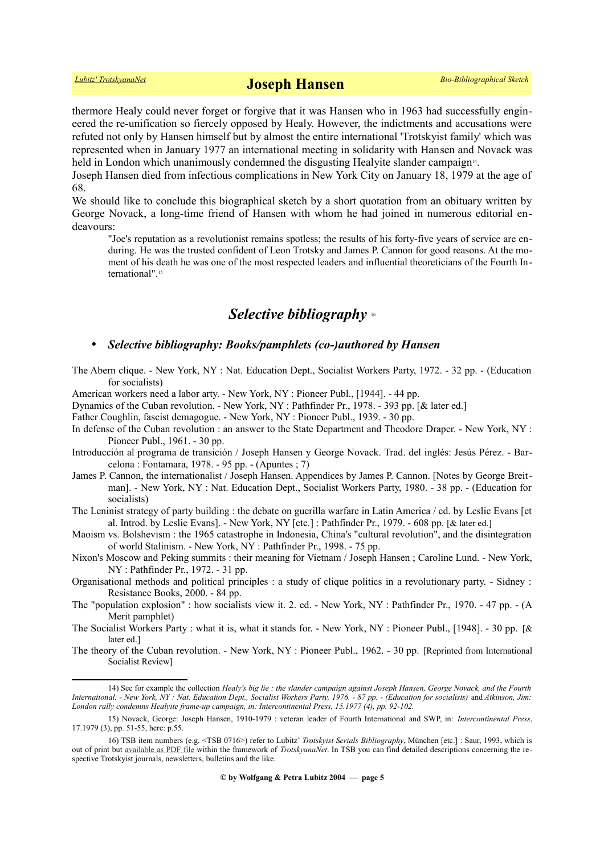thermore Healy could never forget or forgive that it was Hansen who in 1963 had successfully engineered the re-unification so fiercely opposed by Healy. However, the indictments and accusations were refuted not only by Hansen himself but by almost the entire international 'Trotskyist family' which was represented when in January 1977 an international meeting in solidarity with Hansen and Novack was held in London which unanimously condemned the disgusting Healyite slander campaign<sup>[14](#page-4-0)</sup>.

Joseph Hansen died from infectious complications in New York City on January 18, 1979 at the age of 68.

We should like to conclude this biographical sketch by a short quotation from an obituary written by George Novack, a long-time friend of Hansen with whom he had joined in numerous editorial endeavours:

"Joe's reputation as a revolutionist remains spotless; the results of his forty-five years of service are enduring. He was the trusted confident of Leon Trotsky and James P. Cannon for good reasons. At the moment of his death he was one of the most respected leaders and influential theoreticians of the Fourth In-ternational"<sup>[15](#page-4-1)</sup>

## *Selective bibliography* [16](#page-4-2)

## • *Selective bibliography: Books/pamphlets (co-)authored by Hansen*

The Abern clique. - New York, NY : Nat. Education Dept., Socialist Workers Party, 1972. - 32 pp. - (Education for socialists)

American workers need a labor arty. - New York, NY : Pioneer Publ., [1944]. - 44 pp.

Dynamics of the Cuban revolution. - New York, NY : Pathfinder Pr., 1978. - 393 pp. [& later ed.]

Father Coughlin, fascist demagogue. - New York, NY : Pioneer Publ., 1939. - 30 pp.

- In defense of the Cuban revolution : an answer to the State Department and Theodore Draper. New York, NY : Pioneer Publ., 1961. - 30 pp.
- Introducción al programa de transición / Joseph Hansen y George Novack. Trad. del inglés: Jesús Pérez. Barcelona : Fontamara, 1978. - 95 pp. - (Apuntes ; 7)
- James P. Cannon, the internationalist / Joseph Hansen. Appendices by James P. Cannon. [Notes by George Breitman]. - New York, NY : Nat. Education Dept., Socialist Workers Party, 1980. - 38 pp. - (Education for socialists)
- The Leninist strategy of party building : the debate on guerilla warfare in Latin America / ed. by Leslie Evans [et al. Introd. by Leslie Evans]. - New York, NY [etc.] : Pathfinder Pr., 1979. - 608 pp. [& later ed.]
- Maoism vs. Bolshevism : the 1965 catastrophe in Indonesia, China's "cultural revolution", and the disintegration of world Stalinism. - New York, NY : Pathfinder Pr., 1998. - 75 pp.
- Nixon's Moscow and Peking summits : their meaning for Vietnam / Joseph Hansen ; Caroline Lund. New York, NY : Pathfinder Pr., 1972. - 31 pp.
- Organisational methods and political principles : a study of clique politics in a revolutionary party. Sidney : Resistance Books, 2000. - 84 pp.
- The "population explosion" : how socialists view it. 2. ed. New York, NY : Pathfinder Pr., 1970. 47 pp. (A Merit pamphlet)
- The Socialist Workers Party : what it is, what it stands for. New York, NY : Pioneer Publ., [1948]. 30 pp. [& later ed.]
- The theory of the Cuban revolution. New York, NY : Pioneer Publ., 1962. 30 pp. [Reprinted from International Socialist Review]

<span id="page-4-0"></span><sup>14)</sup> See for example the collection *Healy's big lie : the slander campaign against Joseph Hansen, George Novack, and the Fourth International. - New York, NY : Nat. Education Dept., Socialist Workers Party, 1976. - 87 pp. - (Education for socialists)* and *Atkinson, Jim: London rally condemns Healyite frame-up campaign, in: Intercontinental Press, 15.1977 (4), pp. 92-102.*

<span id="page-4-1"></span><sup>15)</sup> Novack, George: Joseph Hansen, 1910-1979 : veteran leader of Fourth International and SWP, in: *Intercontinental Press*, 17.1979 (3), pp. 51-55, here: p.55.

<span id="page-4-2"></span><sup>16)</sup> TSB item numbers (e.g. <TSB 0716>) refer to Lubitz' *Trotskyist Serials Bibliography*, München [etc.] : Saur, 1993, which is out of print but [available as PDF file](http://www.trotskyana.net/LubitzBibliographies/Serials_Bibliography/serials_bibliography.htm#PDF) within the framework of *TrotskyanaNet*. In TSB you can find detailed descriptions concerning the respective Trotskyist journals, newsletters, bulletins and the like.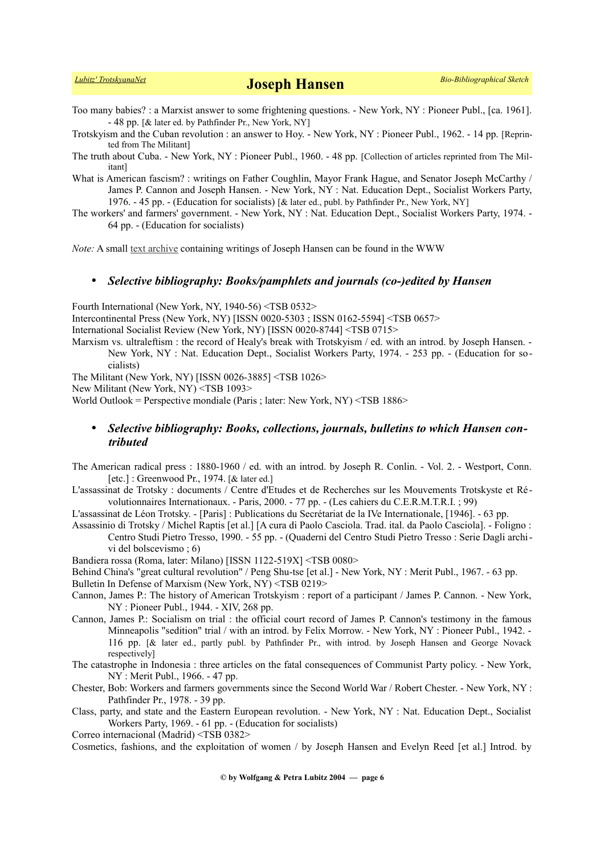- Too many babies? : a Marxist answer to some frightening questions. New York, NY : Pioneer Publ., [ca. 1961]. - 48 pp. [& later ed. by Pathfinder Pr., New York, NY]
- Trotskyism and the Cuban revolution : an answer to Hoy. New York, NY : Pioneer Publ., 1962. 14 pp. [Reprinted from The Militant]
- The truth about Cuba. New York, NY : Pioneer Publ., 1960. 48 pp. [Collection of articles reprinted from The Militant]
- What is American fascism? : writings on Father Coughlin, Mayor Frank Hague, and Senator Joseph McCarthy / James P. Cannon and Joseph Hansen. - New York, NY : Nat. Education Dept., Socialist Workers Party, 1976. - 45 pp. - (Education for socialists) [& later ed., publ. by Pathfinder Pr., New York, NY]
- The workers' and farmers' government. New York, NY : Nat. Education Dept., Socialist Workers Party, 1974. 64 pp. - (Education for socialists)

*Note:* A small [text archive](http://www.marxists.org/history/etol/writers/hansen/) containing writings of Joseph Hansen can be found in the WWW

#### • *Selective bibliography: Books/pamphlets and journals (co-)edited by Hansen*

Fourth International (New York, NY, 1940-56) <TSB 0532>

Intercontinental Press (New York, NY) [ISSN 0020-5303 ; ISSN 0162-5594] <TSB 0657>

International Socialist Review (New York, NY) [ISSN 0020-8744] <TSB 0715>

Marxism vs. ultraleftism : the record of Healy's break with Trotskyism / ed. with an introd. by Joseph Hansen. -New York, NY : Nat. Education Dept., Socialist Workers Party, 1974. - 253 pp. - (Education for socialists)

The Militant (New York, NY) [ISSN 0026-3885] <TSB 1026>

New Militant (New York, NY) <TSB 1093>

World Outlook = Perspective mondiale (Paris ; later: New York, NY) <TSB 1886>

## • *Selective bibliography: Books, collections, journals, bulletins to which Hansen contributed*

The American radical press : 1880-1960 / ed. with an introd. by Joseph R. Conlin. - Vol. 2. - Westport, Conn. [etc.] : Greenwood Pr., 1974. [& later ed.]

L'assassinat de Trotsky : documents / Centre d'Etudes et de Recherches sur les Mouvements Trotskyste et Révolutionnaires Internationaux. - Paris, 2000. - 77 pp. - (Les cahiers du C.E.R.M.T.R.I. ; 99)

L'assassinat de Léon Trotsky. - [Paris] : Publications du Secrétariat de la IVe Internationale, [1946]. - 63 pp.

Assassinio di Trotsky / Michel Raptis [et al.] [A cura di Paolo Casciola. Trad. ital. da Paolo Casciola]. - Foligno : Centro Studi Pietro Tresso, 1990. - 55 pp. - (Quaderni del Centro Studi Pietro Tresso : Serie Dagli archivi del bolscevismo ; 6)

Bandiera rossa (Roma, later: Milano) [ISSN 1122-519X] <TSB 0080>

Behind China's "great cultural revolution" / Peng Shu-tse [et al.] - New York, NY : Merit Publ., 1967. - 63 pp.

Bulletin In Defense of Marxism (New York, NY) <TSB 0219>

- Cannon, James P.: The history of American Trotskyism : report of a participant / James P. Cannon. New York, NY : Pioneer Publ., 1944. - XIV, 268 pp.
- Cannon, James P.: Socialism on trial : the official court record of James P. Cannon's testimony in the famous Minneapolis "sedition" trial / with an introd. by Felix Morrow. - New York, NY : Pioneer Publ., 1942. - 116 pp. [& later ed., partly publ. by Pathfinder Pr., with introd. by Joseph Hansen and George Novack respectively]
- The catastrophe in Indonesia : three articles on the fatal consequences of Communist Party policy. New York, NY : Merit Publ., 1966. - 47 pp.
- Chester, Bob: Workers and farmers governments since the Second World War / Robert Chester. New York, NY : Pathfinder Pr., 1978. - 39 pp.
- Class, party, and state and the Eastern European revolution. New York, NY : Nat. Education Dept., Socialist Workers Party, 1969. - 61 pp. - (Education for socialists)

Correo internacional (Madrid) <TSB 0382>

Cosmetics, fashions, and the exploitation of women / by Joseph Hansen and Evelyn Reed [et al.] Introd. by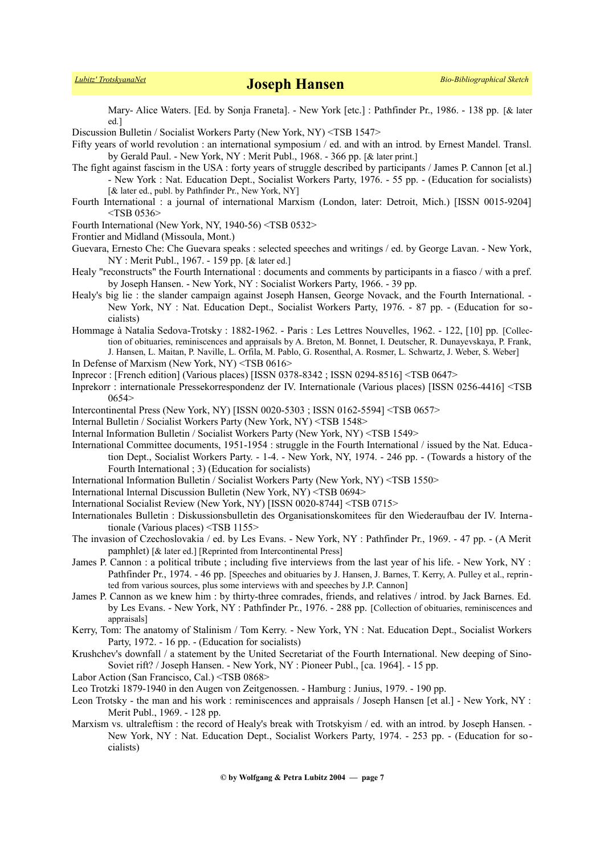Mary- Alice Waters. [Ed. by Sonja Franeta]. - New York [etc.] : Pathfinder Pr., 1986. - 138 pp. [& later ed.]

Discussion Bulletin / Socialist Workers Party (New York, NY) <TSB 1547>

Fifty years of world revolution : an international symposium / ed. and with an introd. by Ernest Mandel. Transl. by Gerald Paul. - New York, NY : Merit Publ., 1968. - 366 pp. [& later print.]

The fight against fascism in the USA : forty years of struggle described by participants / James P. Cannon [et al.] - New York : Nat. Education Dept., Socialist Workers Party, 1976. - 55 pp. - (Education for socialists) [& later ed., publ. by Pathfinder Pr., New York, NY]

- Fourth International : a journal of international Marxism (London, later: Detroit, Mich.) [ISSN 0015-9204] <TSB 0536>
- Fourth International (New York, NY, 1940-56) <TSB 0532>
- Frontier and Midland (Missoula, Mont.)
- Guevara, Ernesto Che: Che Guevara speaks : selected speeches and writings / ed. by George Lavan. New York, NY : Merit Publ., 1967. - 159 pp. [& later ed.]
- Healy "reconstructs" the Fourth International : documents and comments by participants in a fiasco / with a pref. by Joseph Hansen. - New York, NY : Socialist Workers Party, 1966. - 39 pp.
- Healy's big lie : the slander campaign against Joseph Hansen, George Novack, and the Fourth International. New York, NY : Nat. Education Dept., Socialist Workers Party, 1976. - 87 pp. - (Education for socialists)
- Hommage à Natalia Sedova-Trotsky : 1882-1962. Paris : Les Lettres Nouvelles, 1962. 122, [10] pp. [Collection of obituaries, reminiscences and appraisals by A. Breton, M. Bonnet, I. Deutscher, R. Dunayevskaya, P. Frank, J. Hansen, L. Maitan, P. Naville, L. Orfila, M. Pablo, G. Rosenthal, A. Rosmer, L. Schwartz, J. Weber, S. Weber]
- In Defense of Marxism (New York, NY) <TSB 0616>

Inprecor : [French edition] (Various places) [ISSN 0378-8342 ; ISSN 0294-8516] <TSB 0647>

Inprekorr : internationale Pressekorrespondenz der IV. Internationale (Various places) [ISSN 0256-4416] <TSB 0654>

Intercontinental Press (New York, NY) [ISSN 0020-5303 ; ISSN 0162-5594] <TSB 0657>

Internal Bulletin / Socialist Workers Party (New York, NY) <TSB 1548>

- Internal Information Bulletin / Socialist Workers Party (New York, NY) <TSB 1549>
- International Committee documents, 1951-1954 : struggle in the Fourth International / issued by the Nat. Education Dept., Socialist Workers Party. - 1-4. - New York, NY, 1974. - 246 pp. - (Towards a history of the Fourth International ; 3) (Education for socialists)

International Information Bulletin / Socialist Workers Party (New York, NY) <TSB 1550>

International Internal Discussion Bulletin (New York, NY) <TSB 0694>

International Socialist Review (New York, NY) [ISSN 0020-8744] <TSB 0715>

Internationales Bulletin : Diskussionsbulletin des Organisationskomitees für den Wiederaufbau der IV. Internationale (Various places) <TSB 1155>

- The invasion of Czechoslovakia / ed. by Les Evans. New York, NY : Pathfinder Pr., 1969. 47 pp. (A Merit pamphlet) [& later ed.] [Reprinted from Intercontinental Press]
- James P. Cannon : a political tribute ; including five interviews from the last year of his life. New York, NY : Pathfinder Pr., 1974. - 46 pp. [Speeches and obituaries by J. Hansen, J. Barnes, T. Kerry, A. Pulley et al., reprinted from various sources, plus some interviews with and speeches by J.P. Cannon]
- James P. Cannon as we knew him : by thirty-three comrades, friends, and relatives / introd. by Jack Barnes. Ed. by Les Evans. - New York, NY : Pathfinder Pr., 1976. - 288 pp. [Collection of obituaries, reminiscences and appraisals]
- Kerry, Tom: The anatomy of Stalinism / Tom Kerry. New York, YN : Nat. Education Dept., Socialist Workers Party, 1972. - 16 pp. - (Education for socialists)
- Krushchev's downfall / a statement by the United Secretariat of the Fourth International. New deeping of Sino-Soviet rift? / Joseph Hansen. - New York, NY : Pioneer Publ., [ca. 1964]. - 15 pp.

Labor Action (San Francisco, Cal.) <TSB 0868>

Leo Trotzki 1879-1940 in den Augen von Zeitgenossen. - Hamburg : Junius, 1979. - 190 pp.

- Leon Trotsky the man and his work : reminiscences and appraisals / Joseph Hansen [et al.] New York, NY : Merit Publ., 1969. - 128 pp.
- Marxism vs. ultraleftism : the record of Healy's break with Trotskyism / ed. with an introd. by Joseph Hansen. -New York, NY : Nat. Education Dept., Socialist Workers Party, 1974. - 253 pp. - (Education for socialists)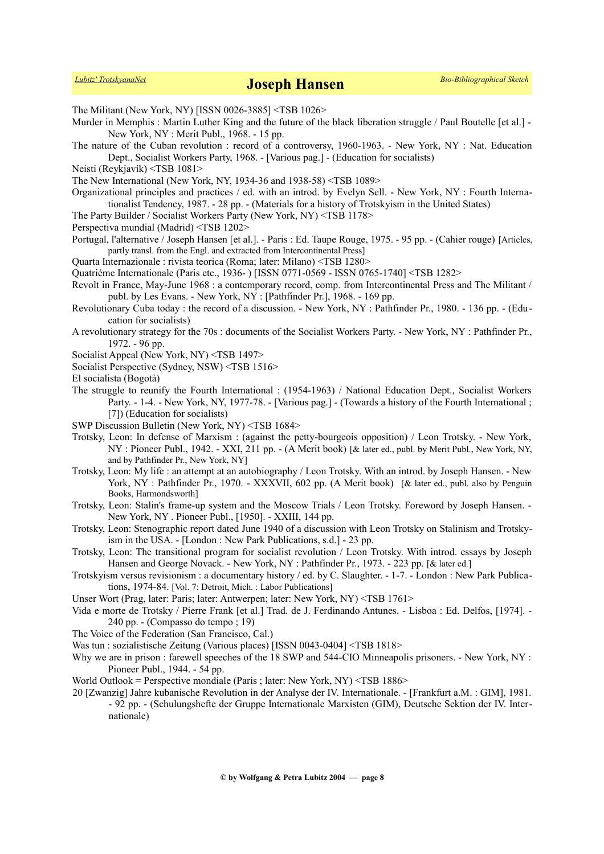The Militant (New York, NY) [ISSN 0026-3885] <TSB 1026>

- Murder in Memphis : Martin Luther King and the future of the black liberation struggle / Paul Boutelle [et al.] -New York, NY : Merit Publ., 1968. - 15 pp.
- The nature of the Cuban revolution : record of a controversy, 1960-1963. New York, NY : Nat. Education Dept., Socialist Workers Party, 1968. - [Various pag.] - (Education for socialists)
- Neisti (Reykjavík) <TSB 1081>
- The New International (New York, NY, 1934-36 and 1938-58) <TSB 1089>
- Organizational principles and practices / ed. with an introd. by Evelyn Sell. New York, NY : Fourth Internationalist Tendency, 1987. - 28 pp. - (Materials for a history of Trotskyism in the United States)
- The Party Builder / Socialist Workers Party (New York, NY) <TSB 1178>
- Perspectiva mundial (Madrid) <TSB 1202>
- Portugal, l'alternative / Joseph Hansen [et al.]. Paris : Ed. Taupe Rouge, 1975. 95 pp. (Cahier rouge) [Articles, partly transl. from the Engl. and extracted from Intercontinental Press]
- Quarta Internazionale : rivista teorica (Roma; later: Milano) <TSB 1280>
- Quatrième Internationale (Paris etc., 1936- ) [ISSN 0771-0569 ISSN 0765-1740] <TSB 1282>
- Revolt in France, May-June 1968 : a contemporary record, comp. from Intercontinental Press and The Militant / publ. by Les Evans. - New York, NY : [Pathfinder Pr.], 1968. - 169 pp.
- Revolutionary Cuba today : the record of a discussion. New York, NY : Pathfinder Pr., 1980. 136 pp. (Education for socialists)
- A revolutionary strategy for the 70s : documents of the Socialist Workers Party. New York, NY : Pathfinder Pr., 1972. - 96 pp.
- Socialist Appeal (New York, NY) <TSB 1497>
- Socialist Perspective (Sydney, NSW) <TSB 1516>
- El socialista (Bogotà)
- The struggle to reunify the Fourth International : (1954-1963) / National Education Dept., Socialist Workers Party. - 1-4. - New York, NY, 1977-78. - [Various pag.] - (Towards a history of the Fourth International ; [7]) (Education for socialists)
- SWP Discussion Bulletin (New York, NY) <TSB 1684>
- Trotsky, Leon: In defense of Marxism : (against the petty-bourgeois opposition) / Leon Trotsky. New York, NY : Pioneer Publ., 1942. - XXI, 211 pp. - (A Merit book) [& later ed., publ. by Merit Publ., New York, NY, and by Pathfinder Pr., New York, NY]
- Trotsky, Leon: My life : an attempt at an autobiography / Leon Trotsky. With an introd. by Joseph Hansen. New York, NY : Pathfinder Pr., 1970. - XXXVII, 602 pp. (A Merit book) [& later ed., publ. also by Penguin Books, Harmondsworth]
- Trotsky, Leon: Stalin's frame-up system and the Moscow Trials / Leon Trotsky. Foreword by Joseph Hansen. New York, NY . Pioneer Publ., [1950]. - XXIII, 144 pp.
- Trotsky, Leon: Stenographic report dated June 1940 of a discussion with Leon Trotsky on Stalinism and Trotskyism in the USA. - [London : New Park Publications, s.d.] - 23 pp.
- Trotsky, Leon: The transitional program for socialist revolution / Leon Trotsky. With introd. essays by Joseph Hansen and George Novack. - New York, NY : Pathfinder Pr., 1973. - 223 pp. [& later ed.]
- Trotskyism versus revisionism : a documentary history / ed. by C. Slaughter. 1-7. London : New Park Publications, 1974-84. [Vol. 7: Detroit, Mich. : Labor Publications]
- Unser Wort (Prag, later: Paris; later: Antwerpen; later: New York, NY) <TSB 1761>
- Vida e morte de Trotsky / Pierre Frank [et al.] Trad. de J. Ferdinando Antunes. Lisboa : Ed. Delfos, [1974]. 240 pp. - (Compasso do tempo ; 19)
- The Voice of the Federation (San Francisco, Cal.)
- Was tun : sozialistische Zeitung (Various places) [ISSN 0043-0404] <TSB 1818>
- Why we are in prison : farewell speeches of the 18 SWP and 544-CIO Minneapolis prisoners. New York, NY : Pioneer Publ., 1944. - 54 pp.
- World Outlook = Perspective mondiale (Paris ; later: New York, NY) <TSB 1886>
- 20 [Zwanzig] Jahre kubanische Revolution in der Analyse der IV. Internationale. [Frankfurt a.M. : GIM], 1981.
	- 92 pp. (Schulungshefte der Gruppe Internationale Marxisten (GIM), Deutsche Sektion der IV. Internationale)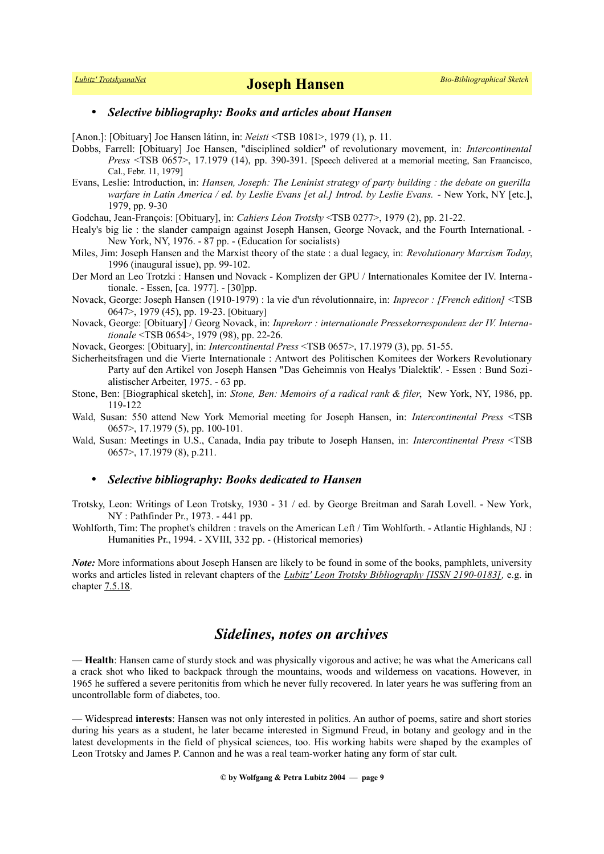### • *Selective bibliography: Books and articles about Hansen*

[Anon.]: [Obituary] Joe Hansen látinn, in: *Neisti* <TSB 1081>, 1979 (1), p. 11.

- Dobbs, Farrell: [Obituary] Joe Hansen, "disciplined soldier" of revolutionary movement, in: *Intercontinental Press* <TSB 0657>, 17.1979 (14), pp. 390-391. [Speech delivered at a memorial meeting, San Fraancisco, Cal., Febr. 11, 1979]
- Evans, Leslie: Introduction, in: *Hansen, Joseph: The Leninist strategy of party building : the debate on guerilla warfare in Latin America / ed. by Leslie Evans [et al.] Introd. by Leslie Evans.* - New York, NY [etc.], 1979, pp. 9-30
- Godchau, Jean-François: [Obituary], in: *Cahiers Léon Trotsky* <TSB 0277>, 1979 (2), pp. 21-22.
- Healy's big lie : the slander campaign against Joseph Hansen, George Novack, and the Fourth International. New York, NY, 1976. - 87 pp. - (Education for socialists)
- Miles, Jim: Joseph Hansen and the Marxist theory of the state : a dual legacy, in: *Revolutionary Marxism Today*, 1996 (inaugural issue), pp. 99-102.
- Der Mord an Leo Trotzki : Hansen und Novack Komplizen der GPU / Internationales Komitee der IV. Interna tionale. - Essen, [ca. 1977]. - [30]pp.
- Novack, George: Joseph Hansen (1910-1979) : la vie d'un révolutionnaire, in: *Inprecor : [French edition]* <TSB 0647>, 1979 (45), pp. 19-23. [Obituary]
- Novack, George: [Obituary] / Georg Novack, in: *Inprekorr : internationale Pressekorrespondenz der IV. Internationale* <TSB 0654>, 1979 (98), pp. 22-26.
- Novack, Georges: [Obituary], in: *Intercontinental Press* <TSB 0657>, 17.1979 (3), pp. 51-55.
- Sicherheitsfragen und die Vierte Internationale : Antwort des Politischen Komitees der Workers Revolutionary Party auf den Artikel von Joseph Hansen "Das Geheimnis von Healys 'Dialektik'. - Essen : Bund Sozialistischer Arbeiter, 1975. - 63 pp.
- Stone, Ben: [Biographical sketch], in: *Stone, Ben: Memoirs of a radical rank & filer*, New York, NY, 1986, pp. 119-122
- Wald, Susan: 550 attend New York Memorial meeting for Joseph Hansen, in: *Intercontinental Press* <TSB 0657>, 17.1979 (5), pp. 100-101.
- Wald, Susan: Meetings in U.S., Canada, India pay tribute to Joseph Hansen, in: *Intercontinental Press* <TSB 0657>, 17.1979 (8), p.211.

### • *Selective bibliography: Books dedicated to Hansen*

- Trotsky, Leon: Writings of Leon Trotsky, 1930 31 / ed. by George Breitman and Sarah Lovell. New York, NY : Pathfinder Pr., 1973. - 441 pp.
- Wohlforth, Tim: The prophet's children : travels on the American Left / Tim Wohlforth. Atlantic Highlands, NJ : Humanities Pr., 1994. - XVIII, 332 pp. - (Historical memories)

*Note:* More informations about Joseph Hansen are likely to be found in some of the books, pamphlets, university works and articles listed in relevant chapters of the *[Lubitz' Leon Trotsky Bibliography \[ISSN 2190-0183\],](http://www.trotskyana.net/LubitzBibliographies/Trotsky_Bibliography/Leon_Trotsky_Bibliography.html)* e.g. in chapter [7.5.18.](http://www.trotskyana.net/LubitzBibliographies/Trotsky_Bibliography/Leon_Trotsky_Bibliography_07.html#c7.5.18)

## *Sidelines, notes on archives*

— **Health**: Hansen came of sturdy stock and was physically vigorous and active; he was what the Americans call a crack shot who liked to backpack through the mountains, woods and wilderness on vacations. However, in 1965 he suffered a severe peritonitis from which he never fully recovered. In later years he was suffering from an uncontrollable form of diabetes, too.

<sup>—</sup> Widespread **interests**: Hansen was not only interested in politics. An author of poems, satire and short stories during his years as a student, he later became interested in Sigmund Freud, in botany and geology and in the latest developments in the field of physical sciences, too. His working habits were shaped by the examples of Leon Trotsky and James P. Cannon and he was a real team-worker hating any form of star cult.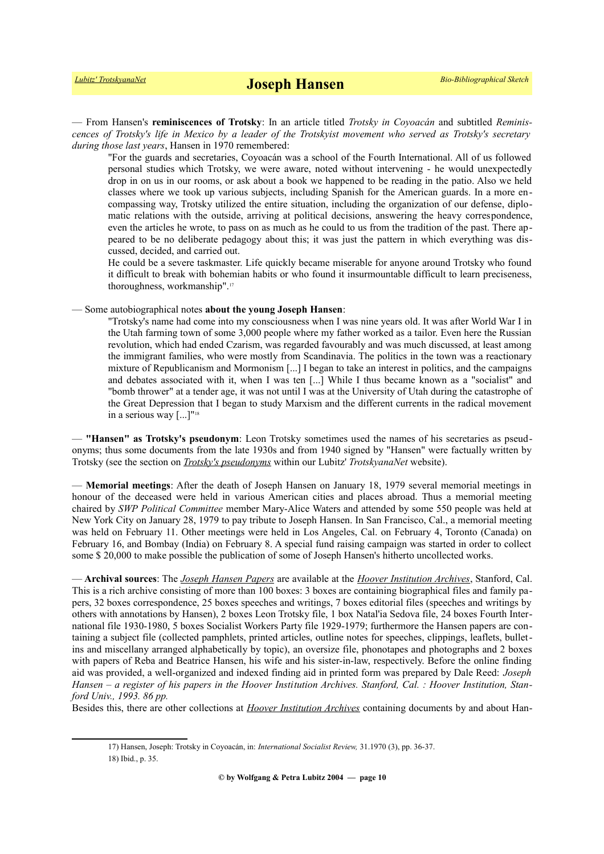— From Hansen's **reminiscences of Trotsky**: In an article titled *Trotsky in Coyoacán* and subtitled *Reminiscences of Trotsky's life in Mexico by a leader of the Trotskyist movement who served as Trotsky's secretary during those last years*, Hansen in 1970 remembered:

"For the guards and secretaries, Coyoacán was a school of the Fourth International. All of us followed personal studies which Trotsky, we were aware, noted without intervening - he would unexpectedly drop in on us in our rooms, or ask about a book we happened to be reading in the patio. Also we held classes where we took up various subjects, including Spanish for the American guards. In a more encompassing way, Trotsky utilized the entire situation, including the organization of our defense, diplomatic relations with the outside, arriving at political decisions, answering the heavy correspondence, even the articles he wrote, to pass on as much as he could to us from the tradition of the past. There appeared to be no deliberate pedagogy about this; it was just the pattern in which everything was discussed, decided, and carried out.

He could be a severe taskmaster. Life quickly became miserable for anyone around Trotsky who found it difficult to break with bohemian habits or who found it insurmountable difficult to learn preciseness, thoroughness, workmanship".[17](#page-9-0)

— Some autobiographical notes **about the young Joseph Hansen**:

"Trotsky's name had come into my consciousness when I was nine years old. It was after World War I in the Utah farming town of some 3,000 people where my father worked as a tailor. Even here the Russian revolution, which had ended Czarism, was regarded favourably and was much discussed, at least among the immigrant families, who were mostly from Scandinavia. The politics in the town was a reactionary mixture of Republicanism and Mormonism [...] I began to take an interest in politics, and the campaigns and debates associated with it, when I was ten [...] While I thus became known as a "socialist" and "bomb thrower" at a tender age, it was not until I was at the University of Utah during the catastrophe of the Great Depression that I began to study Marxism and the different currents in the radical movement in a serious way [...]"<sup>[18](#page-9-1)</sup>

— **"Hansen" as Trotsky's pseudonym**: Leon Trotsky sometimes used the names of his secretaries as pseudonyms; thus some documents from the late 1930s and from 1940 signed by "Hansen" were factually written by Trotsky (see the section on *[Trotsky's pseudonyms](http://www.trotskyana.net/Leon_Trotsky/Pseudonyms/trotsky_pseudonyms.html)* within our Lubitz' *TrotskyanaNet* website).

— **Memorial meetings**: After the death of Joseph Hansen on January 18, 1979 several memorial meetings in honour of the deceased were held in various American cities and places abroad. Thus a memorial meeting chaired by *SWP Political Committee* member Mary-Alice Waters and attended by some 550 people was held at New York City on January 28, 1979 to pay tribute to Joseph Hansen. In San Francisco, Cal., a memorial meeting was held on February 11. Other meetings were held in Los Angeles, Cal. on February 4, Toronto (Canada) on February 16, and Bombay (India) on February 8. A special fund raising campaign was started in order to collect some \$ 20,000 to make possible the publication of some of Joseph Hansen's hitherto uncollected works.

— **Archival sources**: The *[Joseph Hansen Papers](http://www.oac.cdlib.org/findaid/ark:/13030/tf78700585)* are available at the *[Hoover Institution Archives](http://www.trotskyana.net/Research_facilities/PublicArchives_America/publicarchives_america.html#hoover)*, Stanford, Cal. This is a rich archive consisting of more than 100 boxes: 3 boxes are containing biographical files and family papers, 32 boxes correspondence, 25 boxes speeches and writings, 7 boxes editorial files (speeches and writings by others with annotations by Hansen), 2 boxes Leon Trotsky file, 1 box Natal'ia Sedova file, 24 boxes Fourth International file 1930-1980, 5 boxes Socialist Workers Party file 1929-1979; furthermore the Hansen papers are containing a subject file (collected pamphlets, printed articles, outline notes for speeches, clippings, leaflets, bulletins and miscellany arranged alphabetically by topic), an oversize file, phonotapes and photographs and 2 boxes with papers of Reba and Beatrice Hansen, his wife and his sister-in-law, respectively. Before the online finding aid was provided, a well-organized and indexed finding aid in printed form was prepared by Dale Reed: *Joseph Hansen – a register of his papers in the Hoover Institution Archives. Stanford, Cal. : Hoover Institution, Stanford Univ., 1993. 86 pp.*

Besides this, there are other collections at *[Hoover Institution Archives](http://www.trotskyana.net/Research_facilities/PublicArchives_America/publicarchives_america.html#hoover)* containing documents by and about Han-

<span id="page-9-1"></span><span id="page-9-0"></span><sup>17)</sup> Hansen, Joseph: Trotsky in Coyoacán, in: *International Socialist Review,* 31.1970 (3), pp. 36-37. 18) Ibid., p. 35.